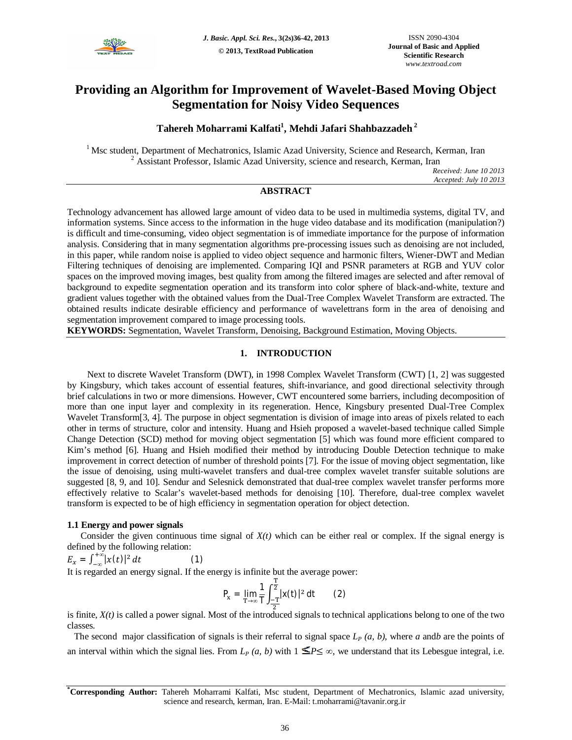

# **Providing an Algorithm for Improvement of Wavelet-Based Moving Object Segmentation for Noisy Video Sequences**

## **Tahereh Moharrami Kalfati<sup>1</sup> , Mehdi Jafari Shahbazzadeh <sup>2</sup>**

<sup>1</sup> Msc student, Department of Mechatronics, Islamic Azad University, Science and Research, Kerman, Iran <sup>2</sup> Assistant Professor, Islamic Azad University, science and research, Kerman, Iran

> *Received: June 10 2013 Accepted: July 10 2013*

## **ABSTRACT**

Technology advancement has allowed large amount of video data to be used in multimedia systems, digital TV, and information systems. Since access to the information in the huge video database and its modification (manipulation?) is difficult and time-consuming, video object segmentation is of immediate importance for the purpose of information analysis. Considering that in many segmentation algorithms pre-processing issues such as denoising are not included, in this paper, while random noise is applied to video object sequence and harmonic filters, Wiener-DWT and Median Filtering techniques of denoising are implemented. Comparing IQI and PSNR parameters at RGB and YUV color spaces on the improved moving images, best quality from among the filtered images are selected and after removal of background to expedite segmentation operation and its transform into color sphere of black-and-white, texture and gradient values together with the obtained values from the Dual-Tree Complex Wavelet Transform are extracted. The obtained results indicate desirable efficiency and performance of wavelettrans form in the area of denoising and segmentation improvement compared to image processing tools.

**KEYWORDS:** Segmentation, Wavelet Transform, Denoising, Background Estimation, Moving Objects.

## **1. INTRODUCTION**

Next to discrete Wavelet Transform (DWT), in 1998 Complex Wavelet Transform (CWT) [1, 2] was suggested by Kingsbury, which takes account of essential features, shift-invariance, and good directional selectivity through brief calculations in two or more dimensions. However, CWT encountered some barriers, including decomposition of more than one input layer and complexity in its regeneration. Hence, Kingsbury presented Dual-Tree Complex Wavelet Transform<sup>[3, 4]</sup>. The purpose in object segmentation is division of image into areas of pixels related to each other in terms of structure, color and intensity. Huang and Hsieh proposed a wavelet-based technique called Simple Change Detection (SCD) method for moving object segmentation [5] which was found more efficient compared to Kim's method [6]. Huang and Hsieh modified their method by introducing Double Detection technique to make improvement in correct detection of number of threshold points [7]. For the issue of moving object segmentation, like the issue of denoising, using multi-wavelet transfers and dual-tree complex wavelet transfer suitable solutions are suggested [8, 9, and 10]. Sendur and Selesnick demonstrated that dual-tree complex wavelet transfer performs more effectively relative to Scalar's wavelet-based methods for denoising [10]. Therefore, dual-tree complex wavelet transform is expected to be of high efficiency in segmentation operation for object detection.

## **1.1 Energy and power signals**

Consider the given continuous time signal of  $X(t)$  which can be either real or complex. If the signal energy is defined by the following relation:

$$
E_x = \int_{-\infty}^{+\infty} |x(t)|^2 dt
$$
 (1)

It is regarded an energy signal. If the energy is infinite but the average power:

$$
P_x = \lim_{T \to \infty} \frac{1}{T} \int_{\frac{-T}{2}}^{\frac{T}{2}} |x(t)|^2 dt
$$
 (2)

is finite,  $X(t)$  is called a power signal. Most of the introduced signals to technical applications belong to one of the two classes.

 The second major classification of signals is their referral to signal space *L<sup>P</sup> (a, b)*, where *a* and*b* are the points of an interval within which the signal lies. From  $L_p(a, b)$  with  $1 \leq P \leq \infty$ , we understand that its Lebesgue integral, i.e.

**\*Corresponding Author:** Tahereh Moharrami Kalfati, Msc student, Department of Mechatronics, Islamic azad university, science and research, kerman, Iran. E-Mail: t.moharrami@tavanir.org.ir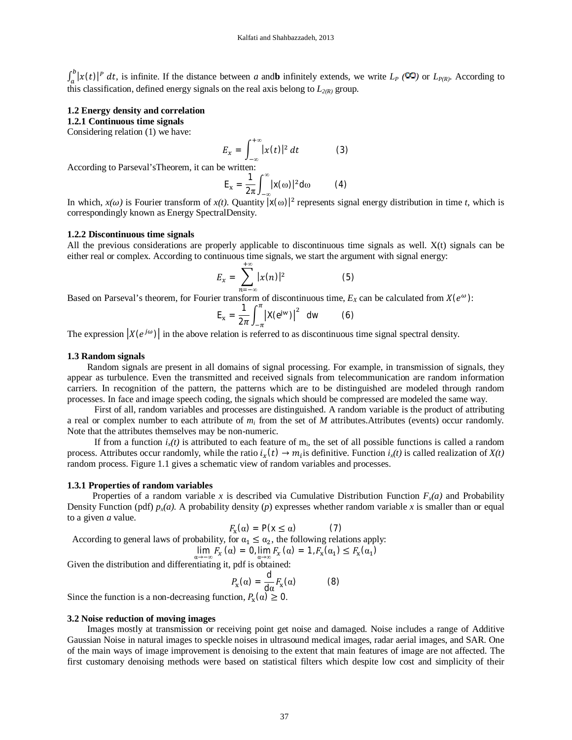$\int_a^b |x(t)|^p dt$ , is infinite. If the distance between *a* and **b** infinitely extends, we write  $L_p$  ( $\infty$ ) or  $L_{P(R)}$ . According to this classification, defined energy signals on the real axis belong to  $L_{2(R)}$  group.

#### **1.2 Energy density and correlation**

**1.2.1 Continuous time signals**

Considering relation (1) we have:

$$
E_x = \int_{-\infty}^{+\infty} |x(t)|^2 dt \qquad (3)
$$

According to Parseval'sTheorem, it can be written:

$$
E_x = \frac{1}{2\pi} \int_{-\infty}^{\infty} |x(\omega)|^2 d\omega \qquad (4)
$$

In which,  $x(\omega)$  is Fourier transform of  $x(t)$ . Quantity  $|x(\omega)|^2$  represents signal energy distribution in time *t*, which is correspondingly known as Energy SpectralDensity.

#### **1.2.2 Discontinuous time signals**

All the previous considerations are properly applicable to discontinuous time signals as well. X(t) signals can be either real or complex. According to continuous time signals, we start the argument with signal energy:

$$
E_x = \sum_{n=-\infty}^{+\infty} |x(n)|^2 \tag{5}
$$

Based on Parseval's theorem, for Fourier transform of discontinuous time,  $E_X$  can be calculated from  $X(e^{ω})$ :

$$
E_x = \frac{1}{2\pi} \int_{-\pi}^{\pi} |X(e^{jw})|^2 dw \qquad (6)
$$

The expression  $|X(e^{j\omega})|$  in the above relation is referred to as discontinuous time signal spectral density.

#### **1.3 Random signals**

Random signals are present in all domains of signal processing. For example, in transmission of signals, they appear as turbulence. Even the transmitted and received signals from telecommunication are random information carriers. In recognition of the pattern, the patterns which are to be distinguished are modeled through random processes. In face and image speech coding, the signals which should be compressed are modeled the same way.

 First of all, random variables and processes are distinguished. A random variable is the product of attributing a real or complex number to each attribute of  $m_i$  from the set of  $M$  attributes. Attributes (events) occur randomly. Note that the attributes themselves may be non-numeric.

If from a function  $i_x(t)$  is attributed to each feature of m<sub>i</sub>, the set of all possible functions is called a random process. Attributes occur randomly, while the ratio  $i_x(t) \to m_i$  is definitive. Function  $i_x(t)$  is called realization of  $X(t)$ random process. Figure 1.1 gives a schematic view of random variables and processes.

#### **1.3.1 Properties of random variables**

Properties of a random variable *x* is described via Cumulative Distribution Function  $F_x(a)$  and Probability Density Function (pdf)  $p_x(a)$ . A probability density (*p*) expresses whether random variable *x* is smaller than or equal to a given *a* value.

$$
F_{\mathbf{x}}(\alpha) = \mathsf{P}(\mathbf{x} \le \alpha) \tag{7}
$$

According to general laws of probability, for  $\alpha_1 \leq \alpha_2$ , the following relations apply: )

$$
\lim_{\alpha \to -\infty} F_x(\alpha) = 0, \lim_{\alpha \to \infty} F_x(\alpha) = 1, F_x(\alpha_1) \le F_x(\alpha_1)
$$

Given the distribution and differentiating it, pdf is obtained:

$$
P_{\mathbf{x}}(\alpha) = \frac{\mathrm{d}}{\mathrm{d}\alpha} F_{\mathbf{x}}(\alpha) \tag{8}
$$

Since the function is a non-decreasing function,  $P_x(\alpha) \ge 0$ .

#### **3.2 Noise reduction of moving images**

Images mostly at transmission or receiving point get noise and damaged. Noise includes a range of Additive Gaussian Noise in natural images to speckle noises in ultrasound medical images, radar aerial images, and SAR. One of the main ways of image improvement is denoising to the extent that main features of image are not affected. The first customary denoising methods were based on statistical filters which despite low cost and simplicity of their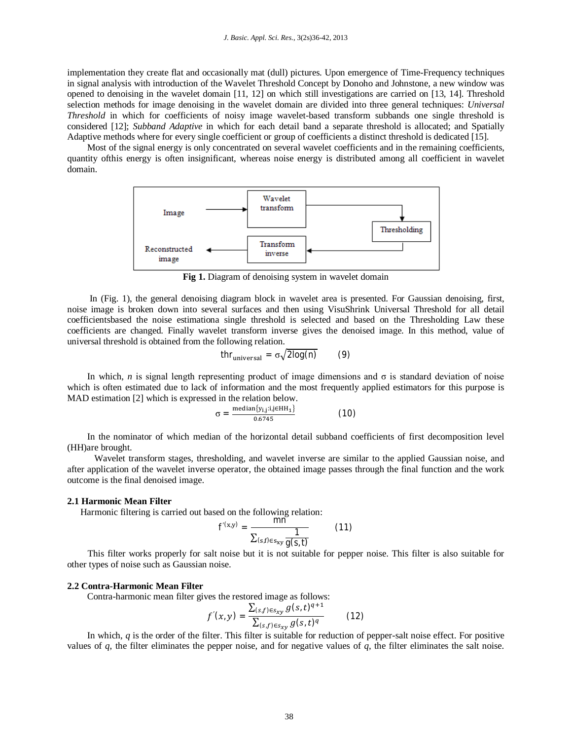implementation they create flat and occasionally mat (dull) pictures. Upon emergence of Time-Frequency techniques in signal analysis with introduction of the Wavelet Threshold Concept by Donoho and Johnstone, a new window was opened to denoising in the wavelet domain [11, 12] on which still investigations are carried on [13, 14]. Threshold selection methods for image denoising in the wavelet domain are divided into three general techniques: *Universal Threshold* in which for coefficients of noisy image wavelet-based transform subbands one single threshold is considered [12]; *Subband Adaptive* in which for each detail band a separate threshold is allocated; and Spatially Adaptive methods where for every single coefficient or group of coefficients a distinct threshold is dedicated [15].

Most of the signal energy is only concentrated on several wavelet coefficients and in the remaining coefficients, quantity ofthis energy is often insignificant, whereas noise energy is distributed among all coefficient in wavelet domain.



**Fig 1.** Diagram of denoising system in wavelet domain

In (Fig. 1), the general denoising diagram block in wavelet area is presented. For Gaussian denoising, first, noise image is broken down into several surfaces and then using VisuShrink Universal Threshold for all detail coefficientsbased the noise estimationa single threshold is selected and based on the Thresholding Law these coefficients are changed. Finally wavelet transform inverse gives the denoised image. In this method, value of universal threshold is obtained from the following relation.

$$
thr_{\text{universal}} = \sigma \sqrt{2 \log(n)} \qquad (9)
$$

In which, *n* is signal length representing product of image dimensions and  $\sigma$  is standard deviation of noise which is often estimated due to lack of information and the most frequently applied estimators for this purpose is MAD estimation [2] which is expressed in the relation below.

$$
\sigma = \frac{\text{median}\{y_{i,j}:i,j\in HH_1\}}{0.6745}
$$
 (10)

In the nominator of which median of the horizontal detail subband coefficients of first decomposition level (HH)are brought.

 Wavelet transform stages, thresholding, and wavelet inverse are similar to the applied Gaussian noise, and after application of the wavelet inverse operator, the obtained image passes through the final function and the work outcome is the final denoised image.

#### **2.1 Harmonic Mean Filter**

Harmonic filtering is carried out based on the following relation:

$$
f'(x,y) = \frac{mn}{\sum_{(s,f)\in s_{xy}} \frac{1}{g(s,t)}}
$$
(11)

 This filter works properly for salt noise but it is not suitable for pepper noise. This filter is also suitable for other types of noise such as Gaussian noise.

#### **2.2 Contra-Harmonic Mean Filter**

Contra-harmonic mean filter gives the restored image as follows:

$$
f'(x,y) = \frac{\sum_{(s,f)\in s_{xy}} g(s,t)^{q+1}}{\sum_{(s,f)\in s_{xy}} g(s,t)^{q}}
$$
(12)

In which, *q* is the order of the filter. This filter is suitable for reduction of pepper-salt noise effect. For positive values of *q*, the filter eliminates the pepper noise, and for negative values of *q*, the filter eliminates the salt noise.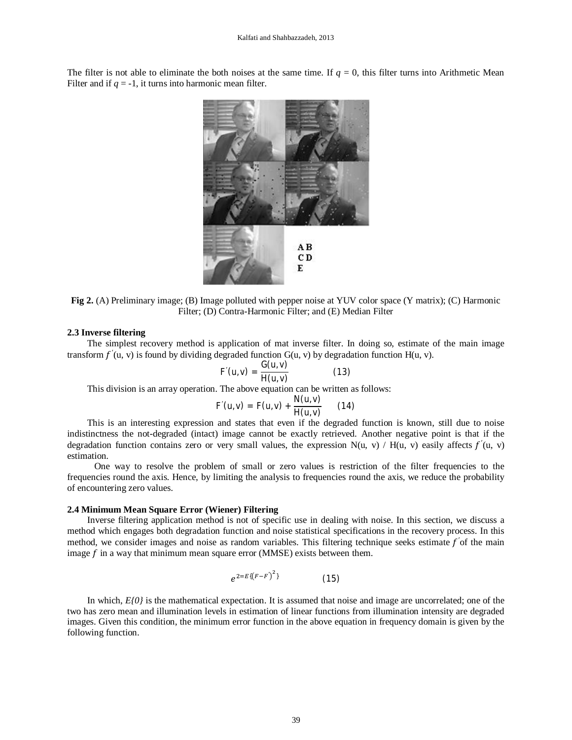The filter is not able to eliminate the both noises at the same time. If  $q = 0$ , this filter turns into Arithmetic Mean Filter and if  $q = -1$ , it turns into harmonic mean filter.



**Fig 2.** (A) Preliminary image; (B) Image polluted with pepper noise at YUV color space (Y matrix); (C) Harmonic Filter; (D) Contra-Harmonic Filter; and (E) Median Filter

#### **2.3 Inverse filtering**

The simplest recovery method is application of mat inverse filter. In doing so, estimate of the main image transform  $f'(u, v)$  is found by dividing degraded function G(u, v) by degradation function H(u, v).

$$
F'(u,v) = \frac{G(u,v)}{H(u,v)}
$$
 (13)

This division is an array operation. The above equation can be written as follows:

$$
F'(u,v) = F(u,v) + \frac{N(u,v)}{H(u,v)} \qquad (14)
$$

This is an interesting expression and states that even if the degraded function is known, still due to noise indistinctness the not-degraded (intact) image cannot be exactly retrieved. Another negative point is that if the degradation function contains zero or very small values, the expression  $N(u, v) / H(u, v)$  easily affects  $f'(u, v)$ estimation.

 One way to resolve the problem of small or zero values is restriction of the filter frequencies to the frequencies round the axis. Hence, by limiting the analysis to frequencies round the axis, we reduce the probability of encountering zero values.

#### **2.4 Minimum Mean Square Error (Wiener) Filtering**

Inverse filtering application method is not of specific use in dealing with noise. In this section, we discuss a method which engages both degradation function and noise statistical specifications in the recovery process. In this method, we consider images and noise as random variables. This filtering technique seeks estimate f'of the main image  $f$  in a way that minimum mean square error (MMSE) exists between them.

$$
e^{2=E\{(F-F)^2\}}\tag{15}
$$

In which,  $E[0]$  is the mathematical expectation. It is assumed that noise and image are uncorrelated; one of the two has zero mean and illumination levels in estimation of linear functions from illumination intensity are degraded images. Given this condition, the minimum error function in the above equation in frequency domain is given by the following function.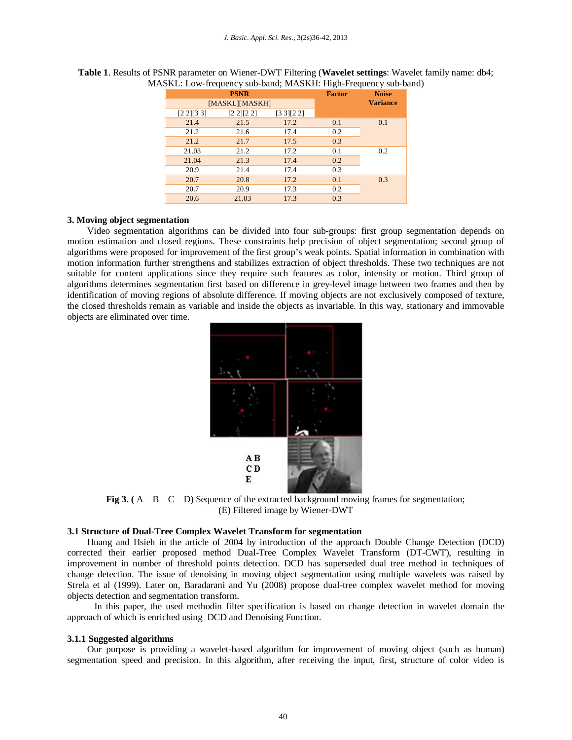|                |             |             |               | -               |
|----------------|-------------|-------------|---------------|-----------------|
|                | <b>PSNR</b> |             | <b>Factor</b> | <b>Noise</b>    |
| [MASKL][MASKH] |             |             |               | <b>Variance</b> |
| [2 2] [3 3]    | [2 2] [2 2] | [3 3] [2 2] |               |                 |
| 21.4           | 21.5        | 17.2        | 0.1           | 0.1             |
| 21.2           | 21.6        | 17.4        | 0.2           |                 |
| 21.2           | 21.7        | 17.5        | 0.3           |                 |
| 21.03          | 21.2        | 17.2        | 0.1           | 0.2             |
| 21.04          | 21.3        | 17.4        | 0.2           |                 |
| 20.9           | 21.4        | 17.4        | 0.3           |                 |
| 20.7           | 20.8        | 17.2        | 0.1           | 0.3             |
| 20.7           | 20.9        | 17.3        | 0.2           |                 |
| 20.6           | 21.03       | 17.3        | 0.3           |                 |

**Table 1**. Results of PSNR parameter on Wiener-DWT Filtering (**Wavelet settings**: Wavelet family name: db4; MASKL: Low-frequency sub-band; MASKH: High-Frequency sub-band)

## **3. Moving object segmentation**

Video segmentation algorithms can be divided into four sub-groups: first group segmentation depends on motion estimation and closed regions. These constraints help precision of object segmentation; second group of algorithms were proposed for improvement of the first group's weak points. Spatial information in combination with motion information further strengthens and stabilizes extraction of object thresholds. These two techniques are not suitable for content applications since they require such features as color, intensity or motion. Third group of algorithms determines segmentation first based on difference in grey-level image between two frames and then by identification of moving regions of absolute difference. If moving objects are not exclusively composed of texture, the closed thresholds remain as variable and inside the objects as invariable. In this way, stationary and immovable objects are eliminated over time.



**Fig 3.** ( $A - B - C - D$ ) Sequence of the extracted background moving frames for segmentation; (E) Filtered image by Wiener-DWT

## **3.1 Structure of Dual-Tree Complex Wavelet Transform for segmentation**

Huang and Hsieh in the article of 2004 by introduction of the approach Double Change Detection (DCD) corrected their earlier proposed method Dual-Tree Complex Wavelet Transform (DT-CWT), resulting in improvement in number of threshold points detection. DCD has superseded dual tree method in techniques of change detection. The issue of denoising in moving object segmentation using multiple wavelets was raised by Strela et al (1999). Later on, Baradarani and Yu (2008) propose dual-tree complex wavelet method for moving objects detection and segmentation transform.

 In this paper, the used methodin filter specification is based on change detection in wavelet domain the approach of which is enriched using DCD and Denoising Function.

#### **3.1.1 Suggested algorithms**

Our purpose is providing a wavelet-based algorithm for improvement of moving object (such as human) segmentation speed and precision. In this algorithm, after receiving the input, first, structure of color video is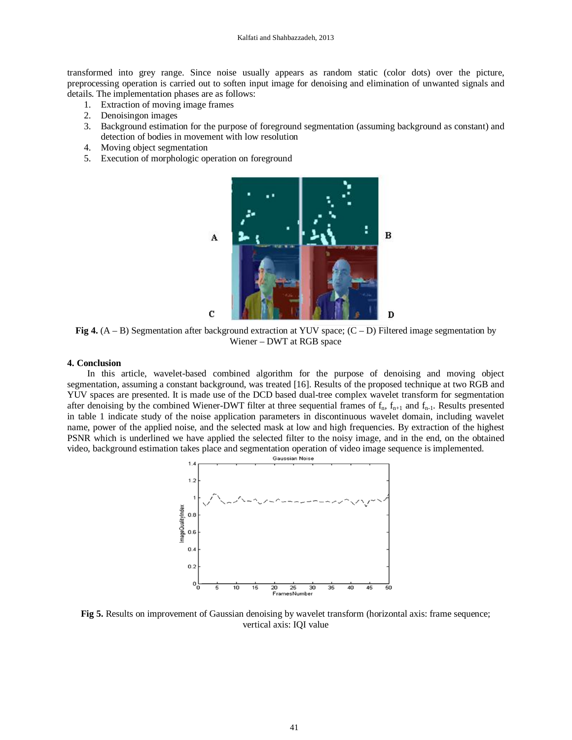transformed into grey range. Since noise usually appears as random static (color dots) over the picture, preprocessing operation is carried out to soften input image for denoising and elimination of unwanted signals and details. The implementation phases are as follows:

- 1. Extraction of moving image frames
- 2. Denoisingon images
- 3. Background estimation for the purpose of foreground segmentation (assuming background as constant) and detection of bodies in movement with low resolution
- 4. Moving object segmentation
- 5. Execution of morphologic operation on foreground



**Fig 4.**  $(A - B)$  Segmentation after background extraction at YUV space;  $(C - D)$  Filtered image segmentation by Wiener – DWT at RGB space

## **4. Conclusion**

In this article, wavelet-based combined algorithm for the purpose of denoising and moving object segmentation, assuming a constant background, was treated [16]. Results of the proposed technique at two RGB and YUV spaces are presented. It is made use of the DCD based dual-tree complex wavelet transform for segmentation after denoising by the combined Wiener-DWT filter at three sequential frames of  $f_n$ ,  $f_{n+1}$  and  $f_{n-1}$ . Results presented in table 1 indicate study of the noise application parameters in discontinuous wavelet domain, including wavelet name, power of the applied noise, and the selected mask at low and high frequencies. By extraction of the highest PSNR which is underlined we have applied the selected filter to the noisy image, and in the end, on the obtained video, background estimation takes place and segmentation operation of video image sequence is implemented.



**Fig 5.** Results on improvement of Gaussian denoising by wavelet transform (horizontal axis: frame sequence; vertical axis: IQI value